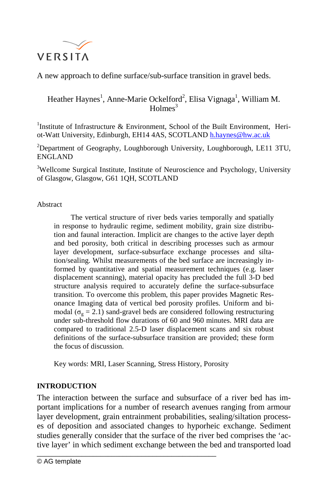

A new approach to define surface/sub-surface transition in gravel beds.

# Heather Haynes<sup>1</sup>, Anne-Marie Ockelford<sup>2</sup>, Elisa Vignaga<sup>1</sup>, William M.  $Holmes<sup>3</sup>$

<sup>1</sup>Institute of Infrastructure & Environment, School of the Built Environment, Heriot-Watt University, Edinburgh, EH14 4AS, SCOTLAND [h.haynes@hw.ac.uk](mailto:h.haynes@hw.ac.uk)

 $2$ Department of Geography, Loughborough University, Loughborough, LE11 3TU, ENGLAND

<sup>3</sup>Wellcome Surgical Institute, Institute of Neuroscience and Psychology, University of Glasgow, Glasgow, G61 1QH, SCOTLAND

Abstract

The vertical structure of river beds varies temporally and spatially in response to hydraulic regime, sediment mobility, grain size distribution and faunal interaction. Implicit are changes to the active layer depth and bed porosity, both critical in describing processes such as armour layer development, surface-subsurface exchange processes and siltation/sealing. Whilst measurements of the bed surface are increasingly informed by quantitative and spatial measurement techniques (e.g. laser displacement scanning), material opacity has precluded the full 3-D bed structure analysis required to accurately define the surface-subsurface transition. To overcome this problem, this paper provides Magnetic Resonance Imaging data of vertical bed porosity profiles. Uniform and bimodal ( $\sigma_{\rm g}$  = 2.1) sand-gravel beds are considered following restructuring under sub-threshold flow durations of 60 and 960 minutes. MRI data are compared to traditional 2.5-D laser displacement scans and six robust definitions of the surface-subsurface transition are provided; these form the focus of discussion.

Key words: MRI, Laser Scanning, Stress History, Porosity

\_\_\_\_\_\_\_\_\_\_\_\_\_\_\_\_\_\_\_\_\_\_\_\_\_\_\_\_\_\_\_\_\_\_\_\_\_\_\_\_\_\_\_\_\_\_\_\_

# **INTRODUCTION**

The interaction between the surface and subsurface of a river bed has important implications for a number of research avenues ranging from armour layer development, grain entrainment probabilities, sealing/siltation processes of deposition and associated changes to hyporheic exchange. Sediment studies generally consider that the surface of the river bed comprises the 'active layer' in which sediment exchange between the bed and transported load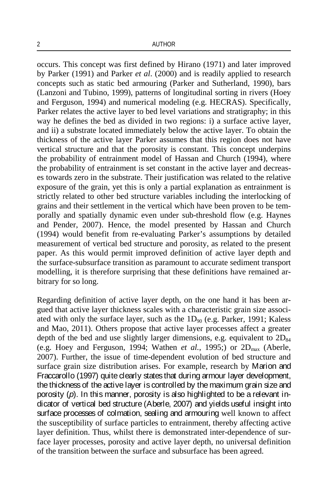occurs. This concept was first defined by Hirano (1971) and later improved by Parker (1991) and Parker *et al*. (2000) and is readily applied to research concepts such as static bed armouring (Parker and Sutherland, 1990), bars (Lanzoni and Tubino, 1999), patterns of longitudinal sorting in rivers (Hoey and Ferguson, 1994) and numerical modeling (e.g. HECRAS). Specifically, Parker relates the active layer to bed level variations and stratigraphy; in this way he defines the bed as divided in two regions: i) a surface active layer, and ii) a substrate located immediately below the active layer. To obtain the thickness of the active layer Parker assumes that this region does not have vertical structure and that the porosity is constant. This concept underpins the probability of entrainment model of Hassan and Church (1994), where the probability of entrainment is set constant in the active layer and decreases towards zero in the substrate. Their justification was related to the relative exposure of the grain, yet this is only a partial explanation as entrainment is strictly related to other bed structure variables including the interlocking of grains and their settlement in the vertical which have been proven to be temporally and spatially dynamic even under sub-threshold flow (e.g. Haynes and Pender, 2007). Hence, the model presented by Hassan and Church (1994) would benefit from re-evaluating Parker's assumptions by detailed measurement of vertical bed structure and porosity, as related to the present paper. As this would permit improved definition of active layer depth and the surface-subsurface transition as paramount to accurate sediment transport modelling, it is therefore surprising that these definitions have remained arbitrary for so long.

Regarding definition of active layer depth, on the one hand it has been argued that active layer thickness scales with a characteristic grain size associated with only the surface layer, such as the  $1D_{90}$  (e.g. Parker, 1991; Kaless and Mao, 2011). Others propose that active layer processes affect a greater depth of the bed and use slightly larger dimensions, e.g. equivalent to  $2D_{84}$ (e.g. Hoey and Ferguson, 1994; Wathen *et al.*, 1995;) or  $2D_{max}$  (Aberle, 2007). Further, the issue of time-dependent evolution of bed structure and surface grain size distribution arises. For example, research by Marion and Fraccarollo (1997) quite clearly states that during armour layer development, the thickness of the active layer is controlled by the maximum grain size and porosity (*p*). In this manner, porosity is also highlighted to be a relevant indicator of vertical bed structure (Aberle, 2007) and yields useful insight into surface processes of colmation, sealing and armouring well known to affect the susceptibility of surface particles to entrainment, thereby affecting active layer definition. Thus, whilst there is demonstrated inter-dependence of surface layer processes, porosity and active layer depth, no universal definition of the transition between the surface and subsurface has been agreed.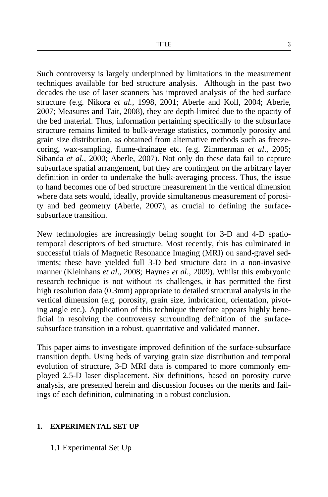Such controversy is largely underpinned by limitations in the measurement techniques available for bed structure analysis. Although in the past two decades the use of laser scanners has improved analysis of the bed surface structure (e.g. Nikora *et al.,* 1998, 2001; Aberle and Koll, 2004; Aberle, 2007; Measures and Tait, 2008), they are depth-limited due to the opacity of the bed material. Thus, information pertaining specifically to the subsurface structure remains limited to bulk-average statistics, commonly porosity and grain size distribution, as obtained from alternative methods such as freezecoring, wax-sampling, flume-drainage etc. (e.g. Zimmerman *et al*., 2005; Sibanda *et al.,* 2000; Aberle, 2007). Not only do these data fail to capture subsurface spatial arrangement, but they are contingent on the arbitrary layer definition in order to undertake the bulk-averaging process. Thus, the issue to hand becomes one of bed structure measurement in the vertical dimension where data sets would, ideally, provide simultaneous measurement of porosity and bed geometry (Aberle, 2007), as crucial to defining the surfacesubsurface transition.

New technologies are increasingly being sought for 3-D and 4-D spatiotemporal descriptors of bed structure. Most recently, this has culminated in successful trials of Magnetic Resonance Imaging (MRI) on sand-gravel sediments; these have yielded full 3-D bed structure data in a non-invasive manner (Kleinhans *et al*., 2008; Haynes *et al*., 2009). Whilst this embryonic research technique is not without its challenges, it has permitted the first high resolution data (0.3mm) appropriate to detailed structural analysis in the vertical dimension (e.g. porosity, grain size, imbrication, orientation, pivoting angle etc.). Application of this technique therefore appears highly beneficial in resolving the controversy surrounding definition of the surfacesubsurface transition in a robust, quantitative and validated manner.

This paper aims to investigate improved definition of the surface-subsurface transition depth. Using beds of varying grain size distribution and temporal evolution of structure, 3-D MRI data is compared to more commonly employed 2.5-D laser displacement. Six definitions, based on porosity curve analysis, are presented herein and discussion focuses on the merits and failings of each definition, culminating in a robust conclusion.

## **1. EXPERIMENTAL SET UP**

1.1 Experimental Set Up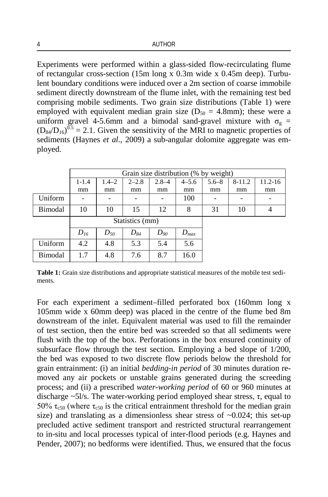Experiments were performed within a glass-sided flow-recirculating flume of rectangular cross-section (15m long x 0.3m wide x 0.45m deep). Turbulent boundary conditions were induced over a 2m section of coarse immobile sediment directly downstream of the flume inlet, with the remaining test bed comprising mobile sediments. Two grain size distributions (Table 1) were employed with equivalent median grain size ( $D_{50} = 4.8$ mm); these were a uniform gravel 4-5.6mm and a bimodal sand-gravel mixture with  $\sigma_g$  =  $(D_{84}/D_{16})^{0.5}$  = 2.1. Given the sensitivity of the MRI to magnetic properties of sediments (Haynes *et al.*, 2009) a sub-angular dolomite aggregate was employed.

|         | Grain size distribution (% by weight) |           |           |           |           |           |          |             |
|---------|---------------------------------------|-----------|-----------|-----------|-----------|-----------|----------|-------------|
|         | $1 - 1.4$                             | $1.4 - 2$ | $2 - 2.8$ | $2.8 - 4$ | $4 - 5.6$ | $5.6 - 8$ | $8-11.2$ | $11.2 - 16$ |
|         | mm                                    | mm        | mm        | mm        | mm        | mm        | mm       | mm          |
| Uniform |                                       |           |           |           | 100       |           |          |             |
| Bimodal | 10                                    | 10        | 15        | 12        | 8         | 31        | 10       | 4           |
|         | Statistics (mm)                       |           |           |           |           |           |          |             |
|         | $D_{16}$                              | $D_{50}$  | $D_{84}$  | $D_{90}$  | $D_{max}$ |           |          |             |
| Uniform | 4.2                                   | 4.8       | 5.3       | 5.4       | 5.6       |           |          |             |
| Bimodal | 1.7                                   | 4.8       | 7.6       | 8.7       | 16.0      |           |          |             |

**Table 1:** Grain size distributions and appropriate statistical measures of the mobile test sediments.

For each experiment a sediment–filled perforated box (160mm long x 105mm wide x 60mm deep) was placed in the centre of the flume bed 8m downstream of the inlet. Equivalent material was used to fill the remainder of test section, then the entire bed was screeded so that all sediments were flush with the top of the box. Perforations in the box ensured continuity of subsurface flow through the test section. Employing a bed slope of 1/200, the bed was exposed to two discrete flow periods below the threshold for grain entrainment: (i) an initial *bedding-in period* of 30 minutes duration removed any air pockets or unstable grains generated during the screeding process; and (ii) a prescribed *water-working period* of 60 or 960 minutes at discharge  $\sim$ 5l/s. The water-working period employed shear stress,  $\tau$ , equal to 50%  $\tau_{c50}$  (where  $\tau_{c50}$  is the critical entrainment threshold for the median grain size) and translating as a dimensionless shear stress of  $\sim 0.024$ ; this set-up precluded active sediment transport and restricted structural rearrangement to in-situ and local processes typical of inter-flood periods (e.g. Haynes and Pender, 2007); no bedforms were identified. Thus, we ensured that the focus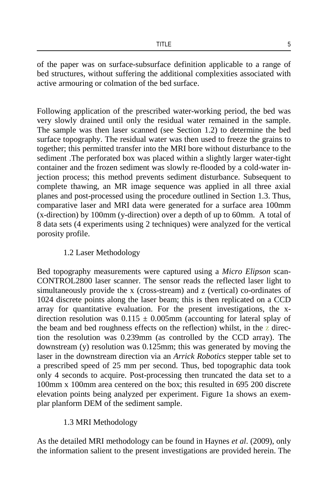of the paper was on surface-subsurface definition applicable to a range of bed structures, without suffering the additional complexities associated with active armouring or colmation of the bed surface.

Following application of the prescribed water-working period, the bed was very slowly drained until only the residual water remained in the sample. The sample was then laser scanned (see Section 1.2) to determine the bed surface topography. The residual water was then used to freeze the grains to together; this permitted transfer into the MRI bore without disturbance to the sediment .The perforated box was placed within a slightly larger water-tight container and the frozen sediment was slowly re-flooded by a cold-water injection process; this method prevents sediment disturbance. Subsequent to complete thawing, an MR image sequence was applied in all three axial planes and post-processed using the procedure outlined in Section 1.3. Thus, comparative laser and MRI data were generated for a surface area 100mm (x-direction) by 100mm (y-direction) over a depth of up to 60mm. A total of 8 data sets (4 experiments using 2 techniques) were analyzed for the vertical porosity profile.

## 1.2 Laser Methodology

Bed topography measurements were captured using a *Micro Elipson* scan-CONTROL2800 laser scanner. The sensor reads the reflected laser light to simultaneously provide the x (cross-stream) and z (vertical) co-ordinates of 1024 discrete points along the laser beam; this is then replicated on a CCD array for quantitative evaluation. For the present investigations, the xdirection resolution was  $0.115 \pm 0.005$ mm (accounting for lateral splay of the beam and bed roughness effects on the reflection) whilst, in the  $\bar{z}$  direction the resolution was 0.239mm (as controlled by the CCD array). The downstream (y) resolution was 0.125mm; this was generated by moving the laser in the downstream direction via an *Arrick Robotics* stepper table set to a prescribed speed of 25 mm per second. Thus, bed topographic data took only 4 seconds to acquire. Post-processing then truncated the data set to a 100mm x 100mm area centered on the box; this resulted in 695 200 discrete elevation points being analyzed per experiment. Figure 1a shows an exemplar planform DEM of the sediment sample.

# 1.3 MRI Methodology

As the detailed MRI methodology can be found in Haynes *et al*. (2009), only the information salient to the present investigations are provided herein. The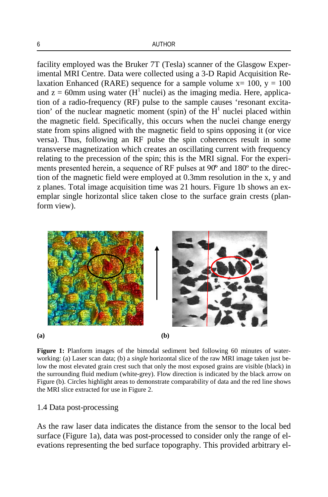facility employed was the Bruker 7T (Tesla) scanner of the Glasgow Experimental MRI Centre. Data were collected using a 3-D Rapid Acquisition Relaxation Enhanced (RARE) sequence for a sample volume  $x=100$ ,  $y=100$ and  $z = 60$ mm using water (H<sup>1</sup> nuclei) as the imaging media. Here, application of a radio-frequency (RF) pulse to the sample causes 'resonant excitation' of the nuclear magnetic moment (spin) of the  $H<sup>1</sup>$  nuclei placed within the magnetic field. Specifically, this occurs when the nuclei change energy state from spins aligned with the magnetic field to spins opposing it (or vice versa). Thus, following an RF pulse the spin coherences result in some transverse magnetization which creates an oscillating current with frequency relating to the precession of the spin; this is the MRI signal. For the experiments presented herein, a sequence of RF pulses at 90̊º and 180º to the direction of the magnetic field were employed at 0.3mm resolution in the x, y and z planes. Total image acquisition time was 21 hours. Figure 1b shows an exemplar single horizontal slice taken close to the surface grain crests (planform view).



**Figure 1:** Planform images of the bimodal sediment bed following 60 minutes of waterworking: (a) Laser scan data; (b) a *single* horizontal slice of the raw MRI image taken just below the most elevated grain crest such that only the most exposed grains are visible (black) in the surrounding fluid medium (white-grey). Flow direction is indicated by the black arrow on Figure (b). Circles highlight areas to demonstrate comparability of data and the red line shows the MRI slice extracted for use in Figure 2.

## 1.4 Data post-processing

As the raw laser data indicates the distance from the sensor to the local bed surface (Figure 1a), data was post-processed to consider only the range of elevations representing the bed surface topography. This provided arbitrary el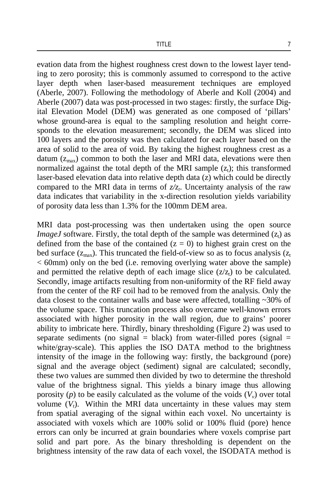evation data from the highest roughness crest down to the lowest layer tending to zero porosity; this is commonly assumed to correspond to the active layer depth when laser-based measurement techniques are employed (Aberle, 2007). Following the methodology of Aberle and Koll (2004) and Aberle (2007) data was post-processed in two stages: firstly, the surface Digital Elevation Model (DEM) was generated as one composed of 'pillars' whose ground-area is equal to the sampling resolution and height corresponds to the elevation measurement; secondly, the DEM was sliced into 100 layers and the porosity was then calculated for each layer based on the area of solid to the area of void. By taking the highest roughness crest as a datum  $(z<sub>max</sub>)$  common to both the laser and MRI data, elevations were then normalized against the total depth of the MRI sample  $(z<sub>t</sub>)$ ; this transformed laser-based elevation data into relative depth data (z) which could be directly compared to the MRI data in terms of  $z/z$ . Uncertainty analysis of the raw data indicates that variability in the x-direction resolution yields variability of porosity data less than 1.3% for the 100mm DEM area.

MRI data post-processing was then undertaken using the open source *ImageJ* software. Firstly, the total depth of the sample was determined  $(z<sub>t</sub>)$  as defined from the base of the contained  $(z = 0)$  to highest grain crest on the bed surface  $(z_{\text{max}})$ . This truncated the field-of-view so as to focus analysis  $(z_{\text{t}})$ < 60mm) only on the bed (i.e. removing overlying water above the sample) and permitted the relative depth of each image slice  $(z/z_t)$  to be calculated. Secondly, image artifacts resulting from non-uniformity of the RF field away from the center of the RF coil had to be removed from the analysis. Only the data closest to the container walls and base were affected, totalling  $\sim$ 30% of the volume space. This truncation process also overcame well-known errors associated with higher porosity in the wall region, due to grains' poorer ability to imbricate here. Thirdly, binary thresholding (Figure 2) was used to separate sediments (no signal  $=$  black) from water-filled pores (signal  $=$ white/gray-scale). This applies the ISO DATA method to the brightness intensity of the image in the following way: firstly, the background (pore) signal and the average object (sediment) signal are calculated; secondly, these two values are summed then divided by two to determine the threshold value of the brightness signal. This yields a binary image thus allowing porosity  $(p)$  to be easily calculated as the volume of the voids  $(V_v)$  over total volume  $(V_t)$ . Within the MRI data uncertainty in these values may stem from spatial averaging of the signal within each voxel. No uncertainty is associated with voxels which are 100% solid or 100% fluid (pore) hence errors can only be incurred at grain boundaries where voxels comprise part solid and part pore. As the binary thresholding is dependent on the brightness intensity of the raw data of each voxel, the ISODATA method is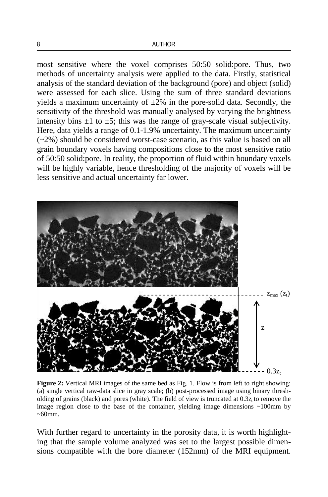most sensitive where the voxel comprises 50:50 solid:pore. Thus, two methods of uncertainty analysis were applied to the data. Firstly, statistical analysis of the standard deviation of the background (pore) and object (solid) were assessed for each slice. Using the sum of three standard deviations yields a maximum uncertainty of  $\pm 2\%$  in the pore-solid data. Secondly, the sensitivity of the threshold was manually analysed by varying the brightness intensity bins  $\pm 1$  to  $\pm 5$ ; this was the range of gray-scale visual subjectivity. Here, data yields a range of 0.1-1.9% uncertainty. The maximum uncertainty (~2%) should be considered worst-case scenario, as this value is based on all grain boundary voxels having compositions close to the most sensitive ratio of 50:50 solid:pore. In reality, the proportion of fluid within boundary voxels will be highly variable, hence thresholding of the majority of voxels will be less sensitive and actual uncertainty far lower.



Figure 2: Vertical MRI images of the same bed as Fig. 1. Flow is from left to right showing: (a) single vertical raw-data slice in gray scale; (b) post-processed image using binary thresholding of grains (black) and pores (white). The field of view is truncated at  $0.3z$ , to remove the image region close to the base of the container, yielding image dimensions  $\sim 100$ mm by  $~50$ mm.

With further regard to uncertainty in the porosity data, it is worth highlighting that the sample volume analyzed was set to the largest possible dimensions compatible with the bore diameter (152mm) of the MRI equipment.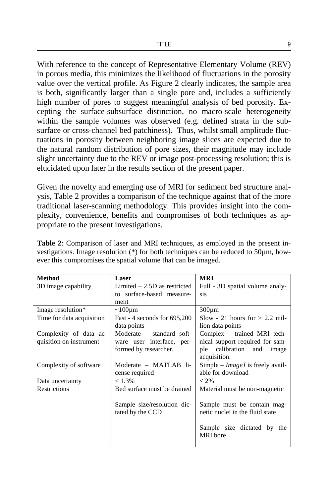With reference to the concept of Representative Elementary Volume (REV) in porous media, this minimizes the likelihood of fluctuations in the porosity value over the vertical profile. As Figure 2 clearly indicates, the sample area is both, significantly larger than a single pore and, includes a sufficiently high number of pores to suggest meaningful analysis of bed porosity. Excepting the surface-subsurface distinction, no macro-scale heterogeneity within the sample volumes was observed (e.g. defined strata in the subsurface or cross-channel bed patchiness). Thus, whilst small amplitude fluctuations in porosity between neighboring image slices are expected due to the natural random distribution of pore sizes, their magnitude may include slight uncertainty due to the REV or image post-processing resolution; this is elucidated upon later in the results section of the present paper.

Given the novelty and emerging use of MRI for sediment bed structure analysis, Table 2 provides a comparison of the technique against that of the more traditional laser-scanning methodology. This provides insight into the complexity, convenience, benefits and compromises of both techniques as appropriate to the present investigations.

| <b>Method</b>             | Laser                          | <b>MRI</b>                              |  |  |
|---------------------------|--------------------------------|-----------------------------------------|--|--|
| 3D image capability       | Limited $-2.5D$ as restricted  | Full - 3D spatial volume analy-         |  |  |
|                           | to surface-based measure-      | sis                                     |  |  |
|                           | ment                           |                                         |  |  |
| Image resolution*         | $\sim$ 100 $\mu$ m             | $300 \mu m$                             |  |  |
| Time for data acquisition | Fast - 4 seconds for $695,200$ | Slow - 21 hours for $> 2.2$ mil-        |  |  |
|                           | data points                    | lion data points                        |  |  |
| Complexity of data ac-    | Moderate – standard soft-      | Complex – trained MRI tech-             |  |  |
| quisition on instrument   | ware user interface, per-      | nical support required for sam-         |  |  |
|                           | formed by researcher.          | ple calibration and image               |  |  |
|                           |                                | acquisition.                            |  |  |
| Complexity of software    | Moderate - MATLAB li-          | Simple – <i>ImageJ</i> is freely avail- |  |  |
|                           | cense required                 | able for download                       |  |  |
| Data uncertainty          | $< 1.3\%$                      | $< 2\%$                                 |  |  |
| <b>Restrictions</b>       | Bed surface must be drained    | Material must be non-magnetic           |  |  |
|                           |                                |                                         |  |  |
|                           | Sample size/resolution dic-    | Sample must be contain mag-             |  |  |
|                           | tated by the CCD               | netic nuclei in the fluid state         |  |  |
|                           |                                |                                         |  |  |
|                           |                                | Sample size dictated by the             |  |  |
|                           |                                | <b>MRI</b> bore                         |  |  |
|                           |                                |                                         |  |  |

**Table 2**: Comparison of laser and MRI techniques, as employed in the present investigations. Image resolution (\*) for both techniques can be reduced to 50µm, however this compromises the spatial volume that can be imaged.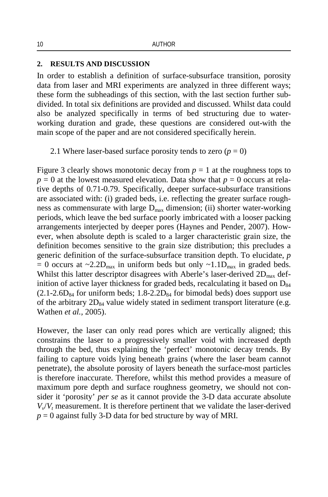### **2. RESULTS AND DISCUSSION**

In order to establish a definition of surface-subsurface transition, porosity data from laser and MRI experiments are analyzed in three different ways; these form the subheadings of this section, with the last section further subdivided. In total six definitions are provided and discussed. Whilst data could also be analyzed specifically in terms of bed structuring due to waterworking duration and grade, these questions are considered out-with the main scope of the paper and are not considered specifically herein.

2.1 Where laser-based surface porosity tends to zero  $(p = 0)$ 

Figure 3 clearly shows monotonic decay from  $p = 1$  at the roughness tops to  $p = 0$  at the lowest measured elevation. Data show that  $p = 0$  occurs at relative depths of 0.71-0.79. Specifically, deeper surface-subsurface transitions are associated with: (i) graded beds, i.e. reflecting the greater surface roughness as commensurate with large  $D_{\text{max}}$  dimension; (ii) shorter water-working periods, which leave the bed surface poorly imbricated with a looser packing arrangements interjected by deeper pores (Haynes and Pender, 2007). However, when absolute depth is scaled to a larger characteristic grain size, the definition becomes sensitive to the grain size distribution; this precludes a generic definition of the surface-subsurface transition depth. To elucidate, *p*  = 0 occurs at  $\sim$ 2.2D<sub>max</sub> in uniform beds but only  $\sim$ 1.1D<sub>max</sub> in graded beds. Whilst this latter descriptor disagrees with Aberle's laser-derived  $2D_{\text{max}}$  definition of active layer thickness for graded beds, recalculating it based on  $D_{84}$  $(2.1\n-2.6D_{84}$  for uniform beds;  $1.8\n-2.2D_{84}$  for bimodal beds) does support use of the arbitrary  $2D_{84}$  value widely stated in sediment transport literature (e.g. Wathen *et al.,* 2005).

However, the laser can only read pores which are vertically aligned; this constrains the laser to a progressively smaller void with increased depth through the bed, thus explaining the 'perfect' monotonic decay trends. By failing to capture voids lying beneath grains (where the laser beam cannot penetrate), the absolute porosity of layers beneath the surface-most particles is therefore inaccurate. Therefore, whilst this method provides a measure of maximum pore depth and surface roughness geometry, we should not consider it 'porosity' *per se* as it cannot provide the 3-D data accurate absolute  $V_v/V_t$  measurement. It is therefore pertinent that we validate the laser-derived  $p = 0$  against fully 3-D data for bed structure by way of MRI.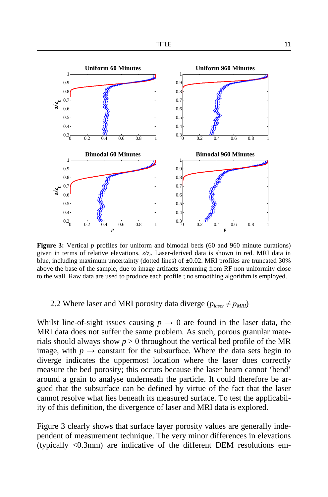

**Figure 3:** Vertical *p* profiles for uniform and bimodal beds (60 and 960 minute durations) given in terms of relative elevations,  $z/z$ . Laser-derived data is shown in red. MRI data in blue, including maximum uncertainty (dotted lines) of  $\pm 0.02$ . MRI profiles are truncated 30% above the base of the sample, due to image artifacts stemming from RF non uniformity close to the wall. Raw data are used to produce each profile ; no smoothing algorithm is employed.

## 2.2 Where laser and MRI porosity data diverge  $(p_{laser} \neq p_{MRI})$

Whilst line-of-sight issues causing  $p \to 0$  are found in the laser data, the MRI data does not suffer the same problem. As such, porous granular materials should always show  $p > 0$  throughout the vertical bed profile of the MR image, with  $p \rightarrow$  constant for the subsurface. Where the data sets begin to diverge indicates the uppermost location where the laser does correctly measure the bed porosity; this occurs because the laser beam cannot 'bend' around a grain to analyse underneath the particle. It could therefore be argued that the subsurface can be defined by virtue of the fact that the laser cannot resolve what lies beneath its measured surface. To test the applicability of this definition, the divergence of laser and MRI data is explored.

Figure 3 clearly shows that surface layer porosity values are generally independent of measurement technique. The very minor differences in elevations (typically  $\langle 0.3$ mm) are indicative of the different DEM resolutions em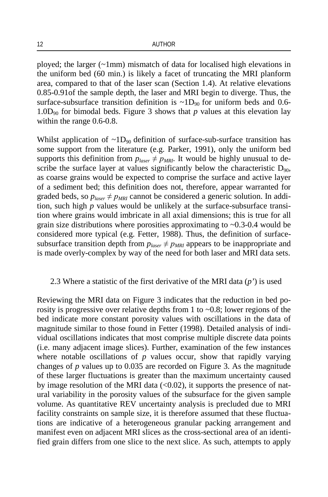ployed; the larger (~1mm) mismatch of data for localised high elevations in the uniform bed (60 min.) is likely a facet of truncating the MRI planform area, compared to that of the laser scan (Section 1.4). At relative elevations 0.85-0.91of the sample depth, the laser and MRI begin to diverge. Thus, the surface-subsurface transition definition is  $\sim 1D_{90}$  for uniform beds and 0.6-1.0D<sub>90</sub> for bimodal beds. Figure 3 shows that  $p$  values at this elevation lay within the range 0.6-0.8.

Whilst application of  $\sim 1D_{90}$  definition of surface-sub-surface transition has some support from the literature (e.g. Parker*,* 1991), only the uniform bed supports this definition from  $p_{laser} \neq p_{MRI}$ . It would be highly unusual to describe the surface layer at values significantly below the characteristic  $D_{90}$ , as coarse grains would be expected to comprise the surface and active layer of a sediment bed; this definition does not, therefore, appear warranted for graded beds, so  $p_{laser} \neq p_{MRI}$  cannot be considered a generic solution. In addition, such high *p* values would be unlikely at the surface-subsurface transition where grains would imbricate in all axial dimensions; this is true for all grain size distributions where porosities approximating to  $\sim 0.3$ -0.4 would be considered more typical (e.g. Fetter, 1988). Thus, the definition of surfacesubsurface transition depth from  $p_{laser} \neq p_{MRI}$  appears to be inappropriate and is made overly-complex by way of the need for both laser and MRI data sets.

## 2.3 Where a statistic of the first derivative of the MRI data (*p'*) is used

Reviewing the MRI data on Figure 3 indicates that the reduction in bed porosity is progressive over relative depths from 1 to ~0.8; lower regions of the bed indicate more constant porosity values with oscillations in the data of magnitude similar to those found in Fetter (1998). Detailed analysis of individual oscillations indicates that most comprise multiple discrete data points (i.e. many adjacent image slices). Further, examination of the few instances where notable oscillations of  $p$  values occur, show that rapidly varying changes of *p* values up to 0.035 are recorded on Figure 3. As the magnitude of these larger fluctuations is greater than the maximum uncertainty caused by image resolution of the MRI data  $(<0.02$ ), it supports the presence of natural variability in the porosity values of the subsurface for the given sample volume. As quantitative REV uncertainty analysis is precluded due to MRI facility constraints on sample size, it is therefore assumed that these fluctuations are indicative of a heterogeneous granular packing arrangement and manifest even on adjacent MRI slices as the cross-sectional area of an identified grain differs from one slice to the next slice. As such, attempts to apply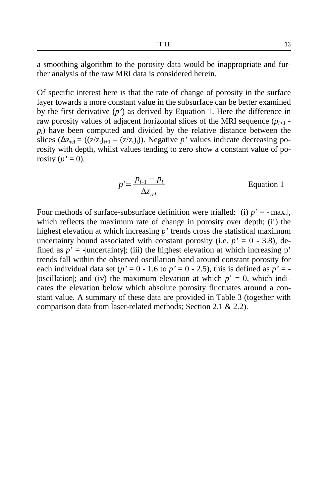a smoothing algorithm to the porosity data would be inappropriate and further analysis of the raw MRI data is considered herein.

Of specific interest here is that the rate of change of porosity in the surface layer towards a more constant value in the subsurface can be better examined by the first derivative (*p'*) as derived by Equation 1. Here the difference in raw porosity values of adjacent horizontal slices of the MRI sequence  $(p_{i+1} - p_i)$ *pi*) have been computed and divided by the relative distance between the slices  $(\Delta z_{rel} = ((z/z_t)_{i+1} - (z/z_t)_{i}))$ . Negative *p*' values indicate decreasing porosity with depth, whilst values tending to zero show a constant value of porosity  $(p' = 0)$ .

$$
p' = \frac{p_{i+1} - p_i}{\Delta z_{rel}} \qquad \qquad \text{Equation 1}
$$

Four methods of surface-subsurface definition were trialled: (i)  $p' = -|max|$ . which reflects the maximum rate of change in porosity over depth; (ii) the highest elevation at which increasing *p'* trends cross the statistical maximum uncertainty bound associated with constant porosity (i.e.  $p' = 0$  - 3.8), defined as  $p' = -\text{uncertainty}$ ; (iii) the highest elevation at which increasing p' trends fall within the observed oscillation band around constant porosity for each individual data set ( $p' = 0 - 1.6$  to  $p' = 0 - 2.5$ ), this is defined as  $p' = -$ |oscillation|; and (iv) the maximum elevation at which  $p' = 0$ , which indicates the elevation below which absolute porosity fluctuates around a constant value. A summary of these data are provided in Table 3 (together with comparison data from laser-related methods; Section 2.1 & 2.2).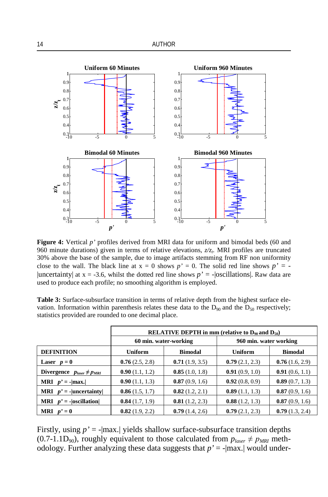

**Figure 4:** Vertical *p'* profiles derived from MRI data for uniform and bimodal beds (60 and 960 minute durations) given in terms of relative elevations,  $z/z_t$ . MRI profiles are truncated 30% above the base of the sample, due to image artifacts stemming from RF non uniformity close to the wall. The black line at  $x = 0$  shows  $p' = 0$ . The solid red line shows  $p' = -1$ |uncertainty| at  $x = -3.6$ , whilst the dotted red line shows  $p' = -|oscillations|$ . Raw data are used to produce each profile; no smoothing algorithm is employed.

**Table 3:** Surface-subsurface transition in terms of relative depth from the highest surface elevation. Information within parenthesis relates these data to the  $D_{90}$  and the  $D_{50}$  respectively; statistics provided are rounded to one decimal place.

|                                     | <b>RELATIVE DEPTH</b> in mm (relative to $D_{90}$ and $D_{50}$ ) |                       |                        |                |  |  |  |  |
|-------------------------------------|------------------------------------------------------------------|-----------------------|------------------------|----------------|--|--|--|--|
|                                     |                                                                  | 60 min. water-working | 960 min. water working |                |  |  |  |  |
| <b>DEFINITION</b>                   | <b>Uniform</b>                                                   | <b>Bimodal</b>        | <b>Uniform</b>         | <b>Bimodal</b> |  |  |  |  |
| Laser $p=0$                         | 0.76(2.5, 2.8)                                                   | 0.71(1.9, 3.5)        | 0.79(2.1, 2.3)         | 0.76(1.6, 2.9) |  |  |  |  |
| Divergence $p_{laser} \neq p_{MRI}$ | 0.90(1.1, 1.2)                                                   | 0.85(1.0, 1.8)        | 0.91(0.9, 1.0)         | 0.91(0.6, 1.1) |  |  |  |  |
| <b>MRI</b> $p' = - \text{max.} $    | 0.90(1.1, 1.3)                                                   | 0.87(0.9, 1.6)        | 0.92(0.8, 0.9)         | 0.89(0.7, 1.3) |  |  |  |  |
| <b>MRI</b> $p' =$ -  uncertainty    | 0.86(1.5, 1.7)                                                   | 0.82(1.2, 2.1)        | 0.89(1.1, 1.3)         | 0.87(0.9, 1.6) |  |  |  |  |
| <b>MRI</b> $p' = - oscillation $    | 0.84(1.7, 1.9)                                                   | 0.81(1.2, 2.3)        | 0.88(1.2, 1.3)         | 0.87(0.9, 1.6) |  |  |  |  |
| <b>MRI</b> $p' = 0$                 | 0.82(1.9, 2.2)                                                   | 0.79(1.4, 2.6)        | 0.79(2.1, 2.3)         | 0.79(1.3, 2.4) |  |  |  |  |

Firstly, using *p'* = -|max.| yields shallow surface-subsurface transition depths (0.7-1.1D<sub>90</sub>), roughly equivalent to those calculated from  $p_{laser} \neq p_{MRI}$  methodology. Further analyzing these data suggests that *p'* = -|max.| would under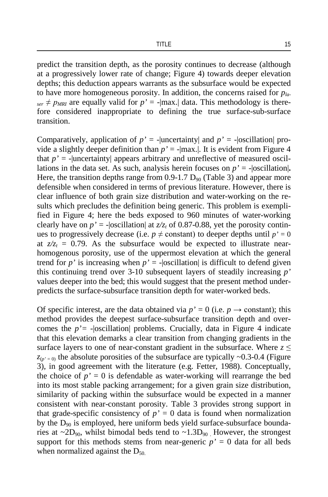predict the transition depth, as the porosity continues to decrease (although at a progressively lower rate of change; Figure 4) towards deeper elevation depths; this deduction appears warrants as the subsurface would be expected to have more homogeneous porosity. In addition, the concerns raised for *pla-* $_{ser} \neq p_{MRI}$  are equally valid for  $p' = -|max|$  data. This methodology is therefore considered inappropriate to defining the true surface-sub-surface transition.

Comparatively, application of  $p' = -\text{uncertainty}$  and  $p' = -\text{oscillation}$  provide a slightly deeper definition than  $p' = -|max|$ . It is evident from Figure 4 that  $p' =$ -|uncertainty| appears arbitrary and unreflective of measured oscillations in the data set. As such, analysis herein focuses on  $p' = -|oscillation|$ . Here, the transition depths range from  $0.9-1.7 \text{ D}_{90}$  (Table 3) and appear more defensible when considered in terms of previous literature. However, there is clear influence of both grain size distribution and water-working on the results which precludes the definition being generic. This problem is exemplified in Figure 4; here the beds exposed to 960 minutes of water-working clearly have on  $p' = -\text{|oscillation|}$  at  $z/z_t$  of 0.87-0.88, yet the porosity continues to progressively decrease (i.e.  $p \neq$  constant) to deeper depths until  $p' = 0$ at  $z/z_t = 0.79$ . As the subsurface would be expected to illustrate nearhomogenous porosity, use of the uppermost elevation at which the general trend for  $p'$  is increasing when  $p' = -\text{|oscillation|}$  is difficult to defend given this continuing trend over 3-10 subsequent layers of steadily increasing *p'* values deeper into the bed; this would suggest that the present method underpredicts the surface-subsurface transition depth for water-worked beds.

Of specific interest, are the data obtained via  $p' = 0$  (i.e.  $p \rightarrow$  constant); this method provides the deepest surface-subsurface transition depth and overcomes the  $p'$  = - |oscillation| problems. Crucially, data in Figure 4 indicate that this elevation demarks a clear transition from changing gradients in the surface layers to one of near-constant gradient in the subsurface. Where  $z \leq$  $z_{(p'=0)}$  the absolute porosities of the subsurface are typically  $\sim 0.3{\text -}0.4$  (Figure 3), in good agreement with the literature (e.g. Fetter, 1988). Conceptually, the choice of  $p' = 0$  is defendable as water-working will rearrange the bed into its most stable packing arrangement; for a given grain size distribution, similarity of packing within the subsurface would be expected in a manner consistent with near-constant porosity. Table 3 provides strong support in that grade-specific consistency of  $p' = 0$  data is found when normalization by the  $D_{90}$  is employed, here uniform beds yield surface-subsurface boundaries at  $\sim$ 2D<sub>90</sub>, whilst bimodal beds tend to  $\sim$ 1.3D<sub>90</sub>. However, the strongest support for this methods stems from near-generic  $p' = 0$  data for all beds when normalized against the  $D_{50}$ .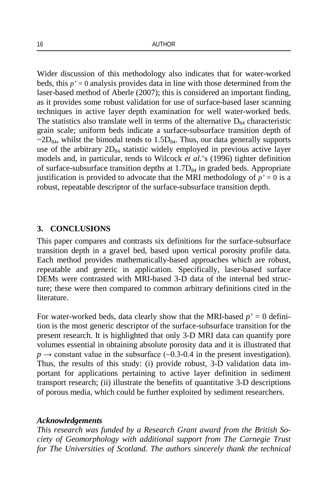Wider discussion of this methodology also indicates that for water-worked beds, this *p'* = 0 analysis provides data in line with those determined from the laser-based method of Aberle (2007); this is considered an important finding, as it provides some robust validation for use of surface-based laser scanning techniques in active layer depth examination for well water-worked beds. The statistics also translate well in terms of the alternative  $D_{84}$  characteristic grain scale; uniform beds indicate a surface-subsurface transition depth of  $\sim$ 2D<sub>84</sub>, whilst the bimodal tends to 1.5D<sub>84</sub>. Thus, our data generally supports use of the arbitrary  $2D_{84}$  statistic widely employed in previous active layer models and, in particular, tends to Wilcock *et al.*'s (1996) tighter definition of surface-subsurface transition depths at  $1.7D_{84}$  in graded beds. Appropriate justification is provided to advocate that the MRI methodology of  $p' = 0$  is a robust, repeatable descriptor of the surface-subsurface transition depth.

## **3. CONCLUSIONS**

This paper compares and contrasts six definitions for the surface-subsurface transition depth in a gravel bed, based upon vertical porosity profile data. Each method provides mathematically-based approaches which are robust, repeatable and generic in application. Specifically, laser-based surface DEMs were contrasted with MRI-based 3-D data of the internal bed structure; these were then compared to common arbitrary definitions cited in the literature.

For water-worked beds, data clearly show that the MRI-based  $p' = 0$  definition is the most generic descriptor of the surface-subsurface transition for the present research. It is highlighted that only 3-D MRI data can quantify pore volumes essential in obtaining absolute porosity data and it is illustrated that  $p \rightarrow$  constant value in the subsurface ( $\sim$ 0.3-0.4 in the present investigation). Thus, the results of this study: (i) provide robust, 3-D validation data important for applications pertaining to active layer definition in sediment transport research; (ii) illustrate the benefits of quantitative 3-D descriptions of porous media, which could be further exploited by sediment researchers.

### *Acknowledgements*

*This research was funded by a Research Grant award from the British Society of Geomorphology with additional support from The Carnegie Trust for The Universities of Scotland. The authors sincerely thank the technical*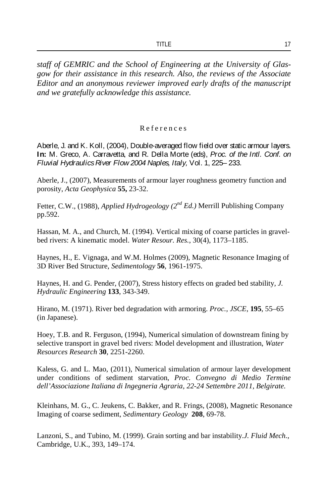*staff of GEMRIC and the School of Engineering at the University of Glasgow for their assistance in this research. Also, the reviews of the Associate Editor and an anonymous reviewer improved early drafts of the manuscript and we gratefully acknowledge this assistance.*

### R eferences

Aberle, J. and K. Koll, (2004), Double-averaged flow field over static armour layers. **In:** M. Greco, A. Carravetta, and R. Della Morte (eds), *Proc. of the Intl. Conf. on Fluvial Hydraulics River Flow 2004 Naples, Italy,* Vol. 1, 225– 233.

Aberle, J., (2007), Measurements of armour layer roughness geometry function and porosity, *Acta Geophysica* **55,** 23-32.

Fetter, C.W., (1988), *Applied Hydrogeology (2nd Ed.)* Merrill Publishing Company pp.592.

Hassan, M. A., and Church, M. (1994). Vertical mixing of coarse particles in gravelbed rivers: A kinematic model. *Water Resour. Res.*, 30(4), 1173–1185.

Haynes, H., E. Vignaga, and W.M. Holmes (2009), Magnetic Resonance Imaging of 3D River Bed Structure, *Sedimentology* **56**, 1961-1975.

Haynes, H. and G. Pender, (2007), Stress history effects on graded bed stability*, J. Hydraulic Engineering* **133**, 343-349.

Hirano, M. (1971). River bed degradation with armoring. *Proc., JSCE*, **195**, 55–65 (in Japanese).

Hoey, T.B. and R. Ferguson, (1994), Numerical simulation of downstream fining by selective transport in gravel bed rivers: Model development and illustration, *Water Resources Research* **30**, 2251-2260.

Kaless, G. and L. Mao, (2011), Numerical simulation of armour layer development under conditions of sediment starvation, *Proc. Convegno di Medio Termine dell'Associazione Italiana di Ingegneria Agraria, 22-24 Settembre 2011, Belgirate.* 

Kleinhans, M. G., C. Jeukens, C. Bakker, and R. Frings, (2008), Magnetic Resonance Imaging of coarse sediment, *Sedimentary Geology* **208**, 69-78.

Lanzoni, S., and Tubino, M. (1999). Grain sorting and bar instability.*J. Fluid Mech.*, Cambridge, U.K., 393, 149–174.